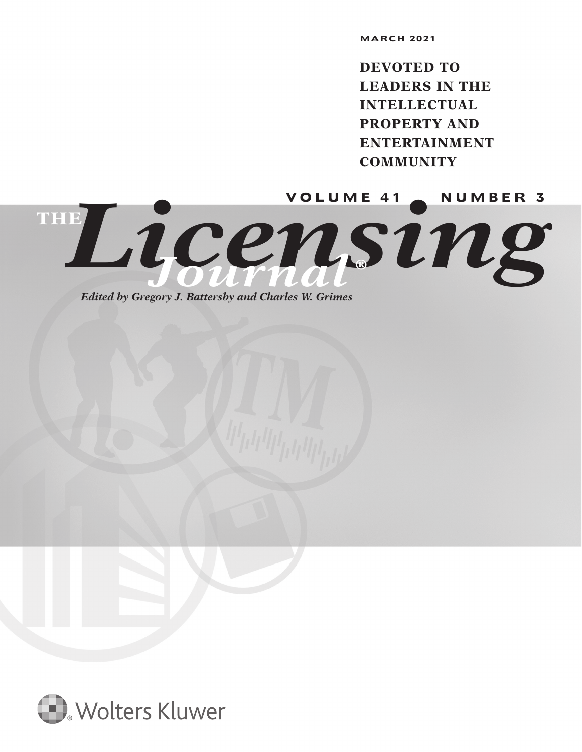**DEVOTED TO LEADERS IN THE INTELLECTUAL PROPERTY AND ENTERTAINMENT COMMUNITY**

Licensin<sup>ware 41</sup> **THE** *Journal* **®**

*Edited by Gregory J. Battersby and Charles W. Grimes*

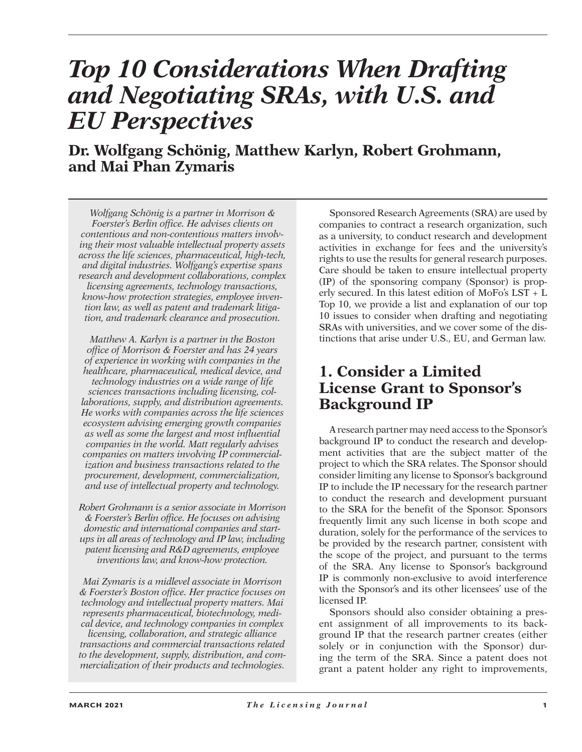# *Top 10 Considerations When Drafting and Negotiating SRAs, with U.S. and EU Perspectives*

# **Dr. Wolfgang Schönig, Matthew Karlyn, Robert Grohmann, and Mai Phan Zymaris**

*Wolfgang Schönig is a partner in Morrison & Foerster's Berlin office. He advises clients on contentious and non-contentious matters involving their most valuable intellectual property assets across the life sciences, pharmaceutical, high-tech, and digital industries. Wolfgang's expertise spans research and development collaborations, complex licensing agreements, technology transactions, know-how protection strategies, employee invention law, as well as patent and trademark litigation, and trademark clearance and prosecution.* 

*Matthew A. Karlyn is a partner in the Boston office of Morrison & Foerster and has 24 years of experience in working with companies in the healthcare, pharmaceutical, medical device, and technology industries on a wide range of life sciences transactions including licensing, collaborations, supply, and distribution agreements. He works with companies across the life sciences ecosystem advising emerging growth companies as well as some the largest and most influential companies in the world. Matt regularly advises companies on matters involving IP commercialization and business transactions related to the procurement, development, commercialization, and use of intellectual property and technology.*

*Robert Grohmann is a senior associate in Morrison & Foerster's Berlin office. He focuses on advising domestic and international companies and startups in all areas of technology and IP law, including patent licensing and R&D agreements, employee inventions law, and know-how protection.*

*Mai Zymaris is a midlevel associate in Morrison & Foerster's Boston office. Her practice focuses on technology and intellectual property matters. Mai represents pharmaceutical, biotechnology, medical device, and technology companies in complex licensing, collaboration, and strategic alliance transactions and commercial transactions related to the development, supply, distribution, and commercialization of their products and technologies.*

Sponsored Research Agreements (SRA) are used by companies to contract a research organization, such as a university, to conduct research and development activities in exchange for fees and the university's rights to use the results for general research purposes. Care should be taken to ensure intellectual property (IP) of the sponsoring company (Sponsor) is properly secured. In this latest edition of MoFo's LST + L Top 10, we provide a list and explanation of our top 10 issues to consider when drafting and negotiating SRAs with universities, and we cover some of the distinctions that arise under U.S., EU, and German law.

## **1. Consider a Limited License Grant to Sponsor's Background IP**

A research partner may need access to the Sponsor's background IP to conduct the research and development activities that are the subject matter of the project to which the SRA relates. The Sponsor should consider limiting any license to Sponsor's background IP to include the IP necessary for the research partner to conduct the research and development pursuant to the SRA for the benefit of the Sponsor. Sponsors frequently limit any such license in both scope and duration, solely for the performance of the services to be provided by the research partner, consistent with the scope of the project, and pursuant to the terms of the SRA. Any license to Sponsor's background IP is commonly non-exclusive to avoid interference with the Sponsor's and its other licensees' use of the licensed IP.

Sponsors should also consider obtaining a present assignment of all improvements to its background IP that the research partner creates (either solely or in conjunction with the Sponsor) during the term of the SRA. Since a patent does not grant a patent holder any right to improvements,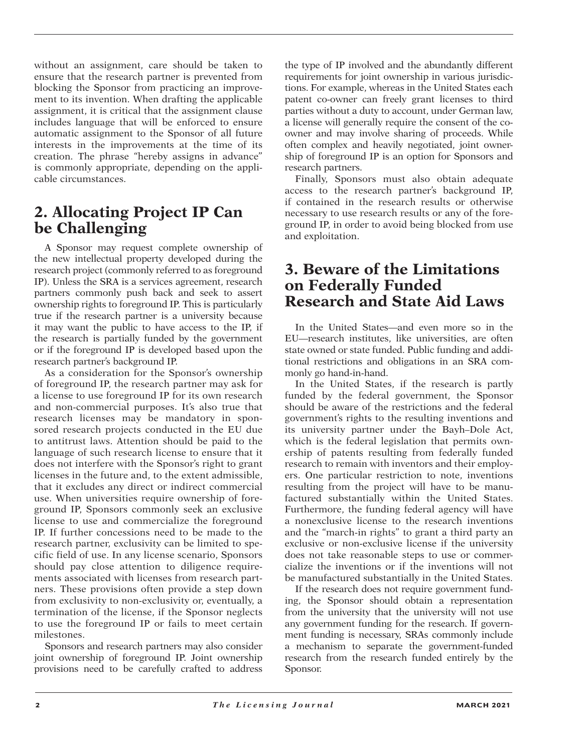without an assignment, care should be taken to ensure that the research partner is prevented from blocking the Sponsor from practicing an improvement to its invention. When drafting the applicable assignment, it is critical that the assignment clause includes language that will be enforced to ensure automatic assignment to the Sponsor of all future interests in the improvements at the time of its creation. The phrase "hereby assigns in advance" is commonly appropriate, depending on the applicable circumstances.

## **2. Allocating Project IP Can be Challenging**

A Sponsor may request complete ownership of the new intellectual property developed during the research project (commonly referred to as foreground IP). Unless the SRA is a services agreement, research partners commonly push back and seek to assert ownership rights to foreground IP. This is particularly true if the research partner is a university because it may want the public to have access to the IP, if the research is partially funded by the government or if the foreground IP is developed based upon the research partner's background IP.

As a consideration for the Sponsor's ownership of foreground IP, the research partner may ask for a license to use foreground IP for its own research and non-commercial purposes. It's also true that research licenses may be mandatory in sponsored research projects conducted in the EU due to antitrust laws. Attention should be paid to the language of such research license to ensure that it does not interfere with the Sponsor's right to grant licenses in the future and, to the extent admissible, that it excludes any direct or indirect commercial use. When universities require ownership of foreground IP, Sponsors commonly seek an exclusive license to use and commercialize the foreground IP. If further concessions need to be made to the research partner, exclusivity can be limited to specific field of use. In any license scenario, Sponsors should pay close attention to diligence requirements associated with licenses from research partners. These provisions often provide a step down from exclusivity to non-exclusivity or, eventually, a termination of the license, if the Sponsor neglects to use the foreground IP or fails to meet certain milestones.

Sponsors and research partners may also consider joint ownership of foreground IP. Joint ownership provisions need to be carefully crafted to address

the type of IP involved and the abundantly different requirements for joint ownership in various jurisdictions. For example, whereas in the United States each patent co-owner can freely grant licenses to third parties without a duty to account, under German law, a license will generally require the consent of the coowner and may involve sharing of proceeds. While often complex and heavily negotiated, joint ownership of foreground IP is an option for Sponsors and research partners.

Finally, Sponsors must also obtain adequate access to the research partner's background IP, if contained in the research results or otherwise necessary to use research results or any of the foreground IP, in order to avoid being blocked from use and exploitation.

#### **3. Beware of the Limitations on Federally Funded Research and State Aid Laws**

In the United States—and even more so in the EU—research institutes, like universities, are often state owned or state funded. Public funding and additional restrictions and obligations in an SRA commonly go hand-in-hand.

In the United States, if the research is partly funded by the federal government, the Sponsor should be aware of the restrictions and the federal government's rights to the resulting inventions and its university partner under the Bayh–Dole Act, which is the federal legislation that permits ownership of patents resulting from federally funded research to remain with inventors and their employers. One particular restriction to note, inventions resulting from the project will have to be manufactured substantially within the United States. Furthermore, the funding federal agency will have a nonexclusive license to the research inventions and the "march-in rights" to grant a third party an exclusive or non-exclusive license if the university does not take reasonable steps to use or commercialize the inventions or if the inventions will not be manufactured substantially in the United States.

If the research does not require government funding, the Sponsor should obtain a representation from the university that the university will not use any government funding for the research. If government funding is necessary, SRAs commonly include a mechanism to separate the government-funded research from the research funded entirely by the Sponsor.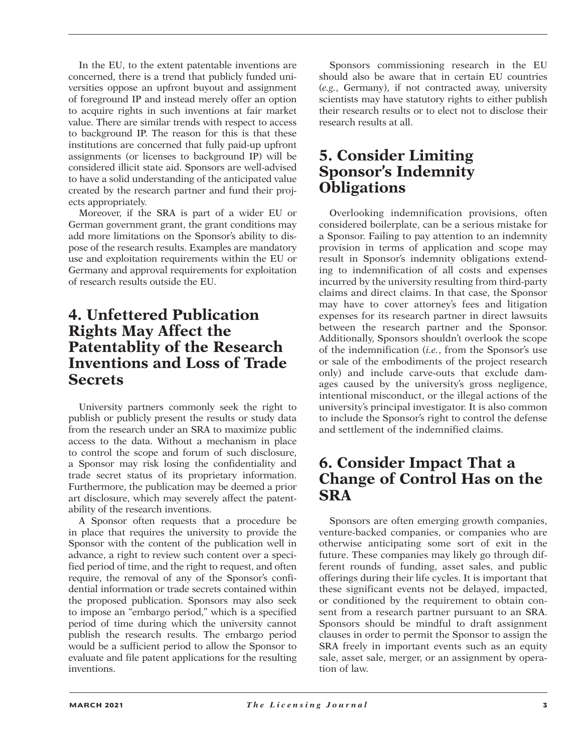In the EU, to the extent patentable inventions are concerned, there is a trend that publicly funded universities oppose an upfront buyout and assignment of foreground IP and instead merely offer an option to acquire rights in such inventions at fair market value. There are similar trends with respect to access to background IP. The reason for this is that these institutions are concerned that fully paid-up upfront assignments (or licenses to background IP) will be considered illicit state aid. Sponsors are well-advised to have a solid understanding of the anticipated value created by the research partner and fund their projects appropriately.

Moreover, if the SRA is part of a wider EU or German government grant, the grant conditions may add more limitations on the Sponsor's ability to dispose of the research results. Examples are mandatory use and exploitation requirements within the EU or Germany and approval requirements for exploitation of research results outside the EU.

#### **4. Unfettered Publication Rights May Affect the Patentablity of the Research Inventions and Loss of Trade Secrets**

University partners commonly seek the right to publish or publicly present the results or study data from the research under an SRA to maximize public access to the data. Without a mechanism in place to control the scope and forum of such disclosure, a Sponsor may risk losing the confidentiality and trade secret status of its proprietary information. Furthermore, the publication may be deemed a prior art disclosure, which may severely affect the patentability of the research inventions.

A Sponsor often requests that a procedure be in place that requires the university to provide the Sponsor with the content of the publication well in advance, a right to review such content over a specified period of time, and the right to request, and often require, the removal of any of the Sponsor's confidential information or trade secrets contained within the proposed publication. Sponsors may also seek to impose an "embargo period," which is a specified period of time during which the university cannot publish the research results. The embargo period would be a sufficient period to allow the Sponsor to evaluate and file patent applications for the resulting inventions.

Sponsors commissioning research in the EU should also be aware that in certain EU countries (*e.g.*, Germany), if not contracted away, university scientists may have statutory rights to either publish their research results or to elect not to disclose their research results at all.

#### **5. Consider Limiting Sponsor's Indemnity Obligations**

Overlooking indemnification provisions, often considered boilerplate, can be a serious mistake for a Sponsor. Failing to pay attention to an indemnity provision in terms of application and scope may result in Sponsor's indemnity obligations extending to indemnification of all costs and expenses incurred by the university resulting from third-party claims and direct claims. In that case, the Sponsor may have to cover attorney's fees and litigation expenses for its research partner in direct lawsuits between the research partner and the Sponsor. Additionally, Sponsors shouldn't overlook the scope of the indemnification (*i.e.*, from the Sponsor's use or sale of the embodiments of the project research only) and include carve-outs that exclude damages caused by the university's gross negligence, intentional misconduct, or the illegal actions of the university's principal investigator. It is also common to include the Sponsor's right to control the defense and settlement of the indemnified claims.

#### **6. Consider Impact That a Change of Control Has on the SRA**

Sponsors are often emerging growth companies, venture-backed companies, or companies who are otherwise anticipating some sort of exit in the future. These companies may likely go through different rounds of funding, asset sales, and public offerings during their life cycles. It is important that these significant events not be delayed, impacted, or conditioned by the requirement to obtain consent from a research partner pursuant to an SRA. Sponsors should be mindful to draft assignment clauses in order to permit the Sponsor to assign the SRA freely in important events such as an equity sale, asset sale, merger, or an assignment by operation of law.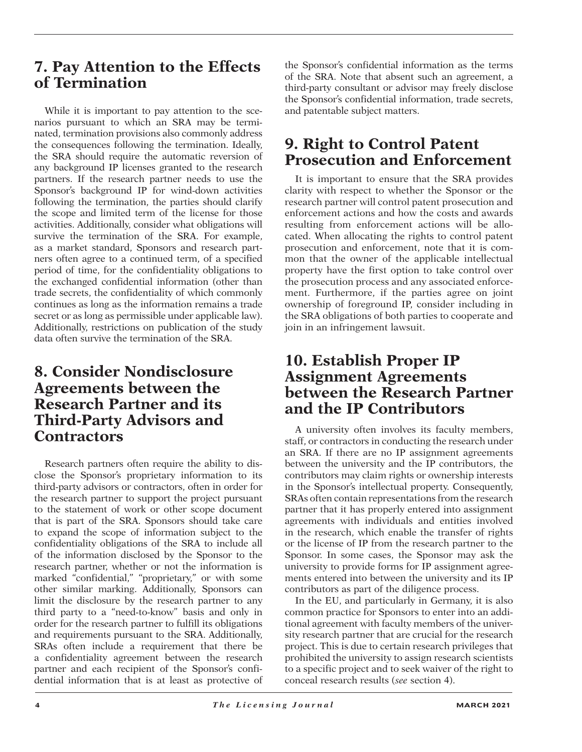#### **7. Pay Attention to the Effects of Termination**

While it is important to pay attention to the scenarios pursuant to which an SRA may be terminated, termination provisions also commonly address the consequences following the termination. Ideally, the SRA should require the automatic reversion of any background IP licenses granted to the research partners. If the research partner needs to use the Sponsor's background IP for wind-down activities following the termination, the parties should clarify the scope and limited term of the license for those activities. Additionally, consider what obligations will survive the termination of the SRA. For example, as a market standard, Sponsors and research partners often agree to a continued term, of a specified period of time, for the confidentiality obligations to the exchanged confidential information (other than trade secrets, the confidentiality of which commonly continues as long as the information remains a trade secret or as long as permissible under applicable law). Additionally, restrictions on publication of the study data often survive the termination of the SRA.

### **8. Consider Nondisclosure Agreements between the Research Partner and its Third-Party Advisors and Contractors**

Research partners often require the ability to disclose the Sponsor's proprietary information to its third-party advisors or contractors, often in order for the research partner to support the project pursuant to the statement of work or other scope document that is part of the SRA. Sponsors should take care to expand the scope of information subject to the confidentiality obligations of the SRA to include all of the information disclosed by the Sponsor to the research partner, whether or not the information is marked "confidential," "proprietary," or with some other similar marking. Additionally, Sponsors can limit the disclosure by the research partner to any third party to a "need-to-know" basis and only in order for the research partner to fulfill its obligations and requirements pursuant to the SRA. Additionally, SRAs often include a requirement that there be a confidentiality agreement between the research partner and each recipient of the Sponsor's confidential information that is at least as protective of

the Sponsor's confidential information as the terms of the SRA. Note that absent such an agreement, a third-party consultant or advisor may freely disclose the Sponsor's confidential information, trade secrets, and patentable subject matters.

## **9. Right to Control Patent Prosecution and Enforcement**

It is important to ensure that the SRA provides clarity with respect to whether the Sponsor or the research partner will control patent prosecution and enforcement actions and how the costs and awards resulting from enforcement actions will be allocated. When allocating the rights to control patent prosecution and enforcement, note that it is common that the owner of the applicable intellectual property have the first option to take control over the prosecution process and any associated enforcement. Furthermore, if the parties agree on joint ownership of foreground IP, consider including in the SRA obligations of both parties to cooperate and join in an infringement lawsuit.

#### **10. Establish Proper IP Assignment Agreements between the Research Partner and the IP Contributors**

A university often involves its faculty members, staff, or contractors in conducting the research under an SRA. If there are no IP assignment agreements between the university and the IP contributors, the contributors may claim rights or ownership interests in the Sponsor's intellectual property. Consequently, SRAs often contain representations from the research partner that it has properly entered into assignment agreements with individuals and entities involved in the research, which enable the transfer of rights or the license of IP from the research partner to the Sponsor. In some cases, the Sponsor may ask the university to provide forms for IP assignment agreements entered into between the university and its IP contributors as part of the diligence process.

In the EU, and particularly in Germany, it is also common practice for Sponsors to enter into an additional agreement with faculty members of the university research partner that are crucial for the research project. This is due to certain research privileges that prohibited the university to assign research scientists to a specific project and to seek waiver of the right to conceal research results (*see* section 4).